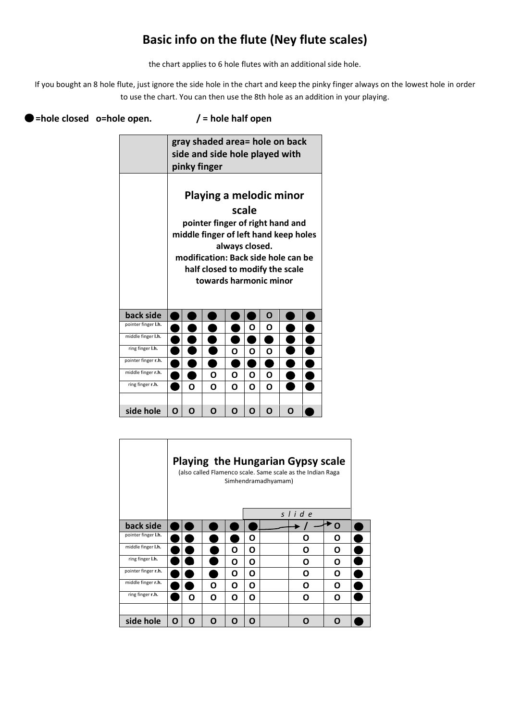## **Basic info on the flute (Ney flute scales)**

the chart applies to 6 hole flutes with an additional side hole.

If you bought an 8 hole flute, just ignore the side hole in the chart and keep the pinky finger always on the lowest hole in order to use the chart. You can then use the 8th hole as an addition in your playing.

## ● =hole closed o=hole open. / = hole half open

|                     | gray shaded area= hole on back<br>side and side hole played with<br>pinky finger                                                                                                                                                    |             |   |   |   |   |   |  |  |  |  |
|---------------------|-------------------------------------------------------------------------------------------------------------------------------------------------------------------------------------------------------------------------------------|-------------|---|---|---|---|---|--|--|--|--|
|                     | Playing a melodic minor<br>scale<br>pointer finger of right hand and<br>middle finger of left hand keep holes<br>always closed.<br>modification: Back side hole can be<br>half closed to modify the scale<br>towards harmonic minor |             |   |   |   |   |   |  |  |  |  |
| back side           |                                                                                                                                                                                                                                     |             |   |   |   | O |   |  |  |  |  |
| pointer finger I.h. |                                                                                                                                                                                                                                     |             |   |   | Ο | O |   |  |  |  |  |
| middle finger I.h.  |                                                                                                                                                                                                                                     |             |   |   |   |   |   |  |  |  |  |
| ring finger I.h.    |                                                                                                                                                                                                                                     | ი<br>Ο<br>Ω |   |   |   |   |   |  |  |  |  |
| pointer finger r.h. |                                                                                                                                                                                                                                     |             |   |   |   |   |   |  |  |  |  |
| middle finger r.h.  |                                                                                                                                                                                                                                     |             | O | O | O | O |   |  |  |  |  |
| ring finger r.h.    |                                                                                                                                                                                                                                     | ი           | ი | O | O | O |   |  |  |  |  |
|                     |                                                                                                                                                                                                                                     |             |   |   |   |   |   |  |  |  |  |
| side hole           | ი                                                                                                                                                                                                                                   | Ο           | Ω | Ω | Ω | Ω | Ω |  |  |  |  |

|                     | <b>Playing the Hungarian Gypsy scale</b><br>(also called Flamenco scale. Same scale as the Indian Raga<br>Simhendramadhyamam) |   |   |   |   |  |       |   |  |  |
|---------------------|-------------------------------------------------------------------------------------------------------------------------------|---|---|---|---|--|-------|---|--|--|
|                     |                                                                                                                               |   |   |   |   |  | slide |   |  |  |
| back side           |                                                                                                                               |   |   |   |   |  |       | Ο |  |  |
| pointer finger I.h. |                                                                                                                               |   |   |   | Ο |  | n     | O |  |  |
| middle finger I.h.  |                                                                                                                               |   |   | O | Ο |  | Ο     | Ο |  |  |
| ring finger I.h.    |                                                                                                                               |   |   | O | Ο |  | Ο     | Ω |  |  |
| pointer finger r.h. |                                                                                                                               |   |   | O | Ο |  | O     | O |  |  |
| middle finger r.h.  |                                                                                                                               |   | Ο | O | Ο |  | Ο     | O |  |  |
| ring finger r.h.    |                                                                                                                               | Ο | Ο | O | Ο |  | O     | O |  |  |
|                     |                                                                                                                               |   |   |   |   |  |       |   |  |  |
| side hole           | O                                                                                                                             | O | n | n | n |  | n     | n |  |  |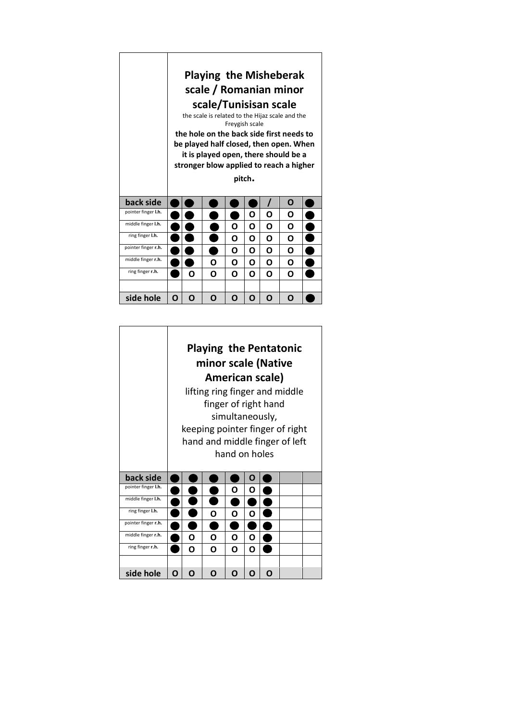|                     | <b>Playing the Misheberak</b><br>scale / Romanian minor<br>scale/Tunisisan scale<br>the scale is related to the Hijaz scale and the<br>Freygish scale<br>the hole on the back side first needs to<br>be played half closed, then open. When<br>it is played open, there should be a<br>stronger blow applied to reach a higher<br>pitch. |   |   |   |   |   |   |  |  |
|---------------------|------------------------------------------------------------------------------------------------------------------------------------------------------------------------------------------------------------------------------------------------------------------------------------------------------------------------------------------|---|---|---|---|---|---|--|--|
| back side           |                                                                                                                                                                                                                                                                                                                                          |   |   |   |   |   | O |  |  |
| pointer finger I.h. |                                                                                                                                                                                                                                                                                                                                          |   |   |   | Ω | ი | Ο |  |  |
| middle finger I.h.  |                                                                                                                                                                                                                                                                                                                                          |   |   | Ο | Ο | O | O |  |  |
| ring finger I.h.    |                                                                                                                                                                                                                                                                                                                                          |   |   | O | O | O | ი |  |  |
| pointer finger r.h. |                                                                                                                                                                                                                                                                                                                                          |   |   | Ο | ი | Ω | Ο |  |  |
| middle finger r.h.  |                                                                                                                                                                                                                                                                                                                                          |   | Ο | Ο | Ο | Ο | Ο |  |  |
| ring finger r.h.    |                                                                                                                                                                                                                                                                                                                                          | ი | ი | O | ი | O | ი |  |  |
| side hole           | ი                                                                                                                                                                                                                                                                                                                                        | O | Ω | ი | O | Ω | Ω |  |  |

|                     |   | <b>Playing the Pentatonic</b>  |                      |                 |   |   |                                 |  |  |  |  |
|---------------------|---|--------------------------------|----------------------|-----------------|---|---|---------------------------------|--|--|--|--|
|                     |   | minor scale (Native            |                      |                 |   |   |                                 |  |  |  |  |
|                     |   | American scale)                |                      |                 |   |   |                                 |  |  |  |  |
|                     |   |                                |                      |                 |   |   | lifting ring finger and middle  |  |  |  |  |
|                     |   |                                | finger of right hand |                 |   |   |                                 |  |  |  |  |
|                     |   |                                |                      | simultaneously, |   |   |                                 |  |  |  |  |
|                     |   |                                |                      |                 |   |   | keeping pointer finger of right |  |  |  |  |
|                     |   | hand and middle finger of left |                      |                 |   |   |                                 |  |  |  |  |
|                     |   | hand on holes                  |                      |                 |   |   |                                 |  |  |  |  |
| back side           |   |                                |                      |                 | O |   |                                 |  |  |  |  |
| pointer finger I.h. |   |                                |                      | ი               | ი |   |                                 |  |  |  |  |
| middle finger I.h.  |   |                                |                      |                 |   |   |                                 |  |  |  |  |
| ring finger I.h.    |   | ი<br>Ο<br>Ω                    |                      |                 |   |   |                                 |  |  |  |  |
| pointer finger r.h. |   |                                |                      |                 |   |   |                                 |  |  |  |  |
| middle finger r.h.  |   | ი<br>ი<br>O<br>Ο               |                      |                 |   |   |                                 |  |  |  |  |
| ring finger r.h.    |   | Ο<br>Ο<br>Ο<br>Ο               |                      |                 |   |   |                                 |  |  |  |  |
|                     |   |                                |                      |                 |   |   |                                 |  |  |  |  |
| side hole           | Ω | O                              | O                    | O               | O | ŋ |                                 |  |  |  |  |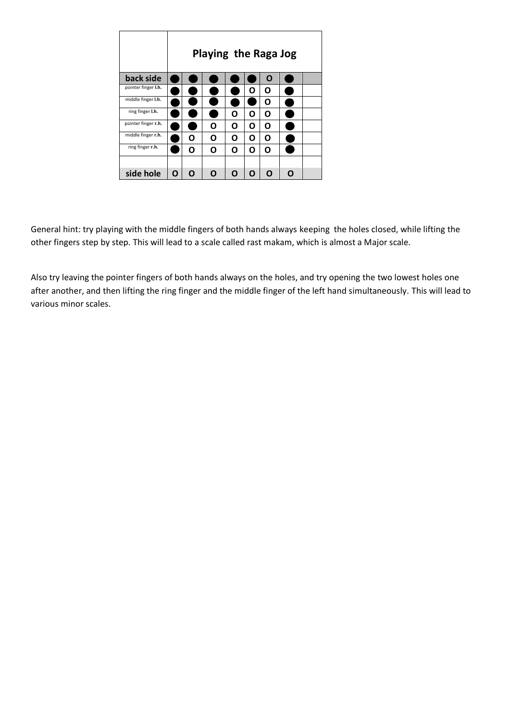|                     |   | <b>Playing the Raga Jog</b> |   |   |   |   |   |  |  |  |
|---------------------|---|-----------------------------|---|---|---|---|---|--|--|--|
| back side           |   |                             |   |   |   | O |   |  |  |  |
| pointer finger I.h. |   |                             |   |   | Ο | O |   |  |  |  |
| middle finger I.h.  |   |                             |   |   |   | O |   |  |  |  |
| ring finger I.h.    |   |                             |   | Ο | O | Ο |   |  |  |  |
| pointer finger r.h. |   |                             | Ο | Ω | Ο | O |   |  |  |  |
| middle finger r.h.  |   | Ω                           | Ο | O | Ο | Ω |   |  |  |  |
| ring finger r.h.    |   | O                           | O | O | O | O |   |  |  |  |
|                     |   |                             |   |   |   |   |   |  |  |  |
| side hole           | O | O                           | n | O | Ω | Ω | n |  |  |  |

General hint: try playing with the middle fingers of both hands always keeping the holes closed, while lifting the other fingers step by step. This will lead to a scale called rast makam, which is almost a Major scale.

Also try leaving the pointer fingers of both hands always on the holes, and try opening the two lowest holes one after another, and then lifting the ring finger and the middle finger of the left hand simultaneously. This will lead to various minor scales.